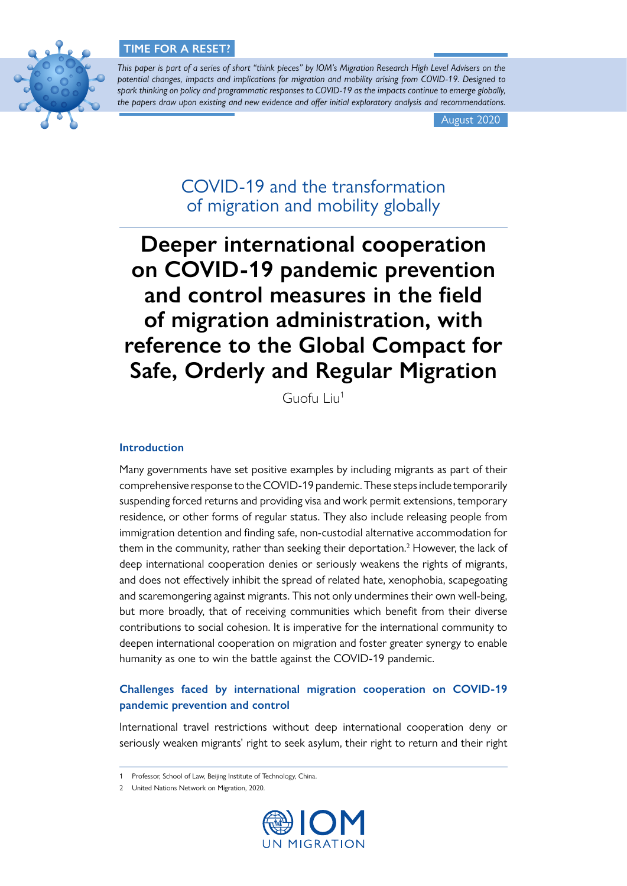

*This paper is part of a series of short "think pieces" by IOM's Migration Research High Level Advisers on the potential changes, impacts and implications for migration and mobility arising from COVID-19. Designed to spark thinking on policy and programmatic responses to COVID-19 as the impacts continue to emerge globally, the papers draw upon existing and new evidence and offer initial exploratory analysis and recommendations.*

August 2020

COVID-19 and the transformation of migration and mobility globally

# **Deeper international cooperation on COVID-19 pandemic prevention and control measures in the field of migration administration, with reference to the Global Compact for Safe, Orderly and Regular Migration**

Guofu Liu1

### **Introduction**

Many governments have set positive examples by including migrants as part of their comprehensive response to the COVID-19 pandemic. These steps include temporarily suspending forced returns and providing visa and work permit extensions, temporary residence, or other forms of regular status. They also include releasing people from immigration detention and finding safe, non-custodial alternative accommodation for them in the community, rather than seeking their deportation.<sup>2</sup> However, the lack of deep international cooperation denies or seriously weakens the rights of migrants, and does not effectively inhibit the spread of related hate, xenophobia, scapegoating and scaremongering against migrants. This not only undermines their own well-being, but more broadly, that of receiving communities which benefit from their diverse contributions to social cohesion. It is imperative for the international community to deepen international cooperation on migration and foster greater synergy to enable humanity as one to win the battle against the COVID-19 pandemic.

# **Challenges faced by international migration cooperation on COVID-19 pandemic prevention and control**

International travel restrictions without deep international cooperation deny or seriously weaken migrants' right to seek asylum, their right to return and their right

<sup>2</sup> United Nations Network on Migration, 2020.



<sup>1</sup> Professor, School of Law, Beijing Institute of Technology, China.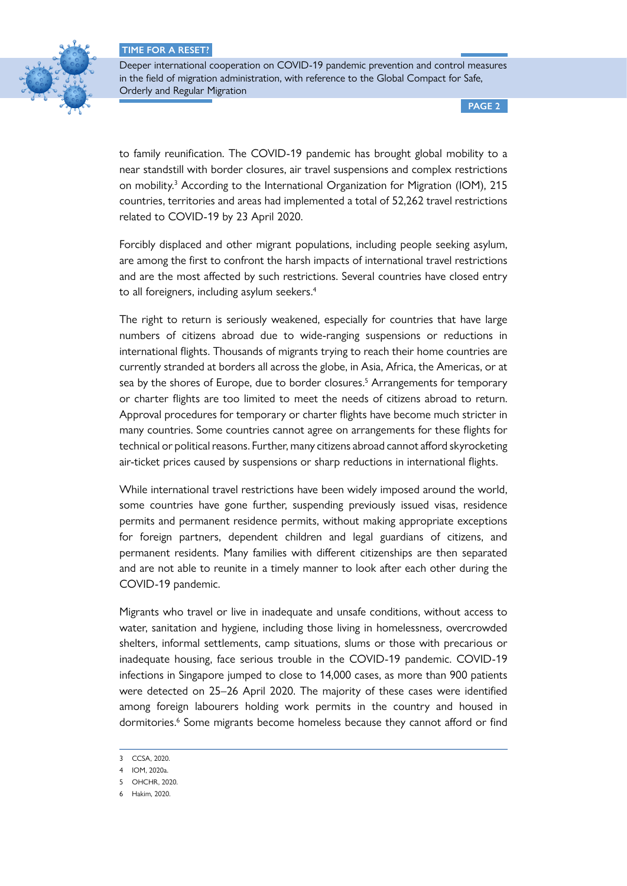

Deeper international cooperation on COVID-19 pandemic prevention and control measures in the field of migration administration, with reference to the Global Compact for Safe, Orderly and Regular Migration

**PAGE 2**

to family reunification. The COVID-19 pandemic has brought global mobility to a near standstill with border closures, air travel suspensions and complex restrictions on mobility.<sup>3</sup> According to the International Organization for Migration (IOM), 215 countries, territories and areas had implemented a total of 52,262 travel restrictions related to COVID-19 by 23 April 2020.

Forcibly displaced and other migrant populations, including people seeking asylum, are among the first to confront the harsh impacts of international travel restrictions and are the most affected by such restrictions. Several countries have closed entry to all foreigners, including asylum seekers.<sup>4</sup>

The right to return is seriously weakened, especially for countries that have large numbers of citizens abroad due to wide-ranging suspensions or reductions in international flights. Thousands of migrants trying to reach their home countries are currently stranded at borders all across the globe, in Asia, Africa, the Americas, or at sea by the shores of Europe, due to border closures.<sup>5</sup> Arrangements for temporary or charter flights are too limited to meet the needs of citizens abroad to return. Approval procedures for temporary or charter flights have become much stricter in many countries. Some countries cannot agree on arrangements for these flights for technical or political reasons. Further, many citizens abroad cannot afford skyrocketing air-ticket prices caused by suspensions or sharp reductions in international flights.

While international travel restrictions have been widely imposed around the world, some countries have gone further, suspending previously issued visas, residence permits and permanent residence permits, without making appropriate exceptions for foreign partners, dependent children and legal guardians of citizens, and permanent residents. Many families with different citizenships are then separated and are not able to reunite in a timely manner to look after each other during the COVID-19 pandemic.

Migrants who travel or live in inadequate and unsafe conditions, without access to water, sanitation and hygiene, including those living in homelessness, overcrowded shelters, informal settlements, camp situations, slums or those with precarious or inadequate housing, face serious trouble in the COVID-19 pandemic. COVID-19 infections in Singapore jumped to close to 14,000 cases, as more than 900 patients were detected on 25–26 April 2020. The majority of these cases were identified among foreign labourers holding work permits in the country and housed in dormitories.<sup>6</sup> Some migrants become homeless because they cannot afford or find

<sup>3</sup> CCSA, 2020.

<sup>4</sup> IOM, 2020a.

<sup>5</sup> OHCHR, 2020.

<sup>6</sup> Hakim, 2020.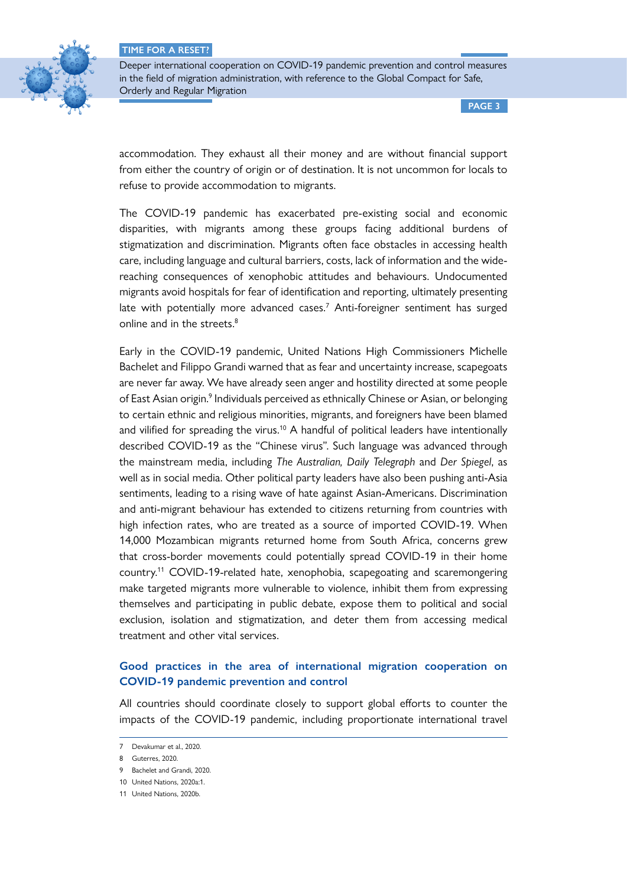

Deeper international cooperation on COVID-19 pandemic prevention and control measures in the field of migration administration, with reference to the Global Compact for Safe, Orderly and Regular Migration

**PAGE 3**

accommodation. They exhaust all their money and are without financial support from either the country of origin or of destination. It is not uncommon for locals to refuse to provide accommodation to migrants.

The COVID-19 pandemic has exacerbated pre-existing social and economic disparities, with migrants among these groups facing additional burdens of stigmatization and discrimination. Migrants often face obstacles in accessing health care, including language and cultural barriers, costs, lack of information and the widereaching consequences of xenophobic attitudes and behaviours. Undocumented migrants avoid hospitals for fear of identification and reporting, ultimately presenting late with potentially more advanced cases.<sup>7</sup> Anti-foreigner sentiment has surged online and in the streets.<sup>8</sup>

Early in the COVID-19 pandemic, United Nations High Commissioners Michelle Bachelet and Filippo Grandi warned that as fear and uncertainty increase, scapegoats are never far away. We have already seen anger and hostility directed at some people of East Asian origin.<sup>9</sup> Individuals perceived as ethnically Chinese or Asian, or belonging to certain ethnic and religious minorities, migrants, and foreigners have been blamed and vilified for spreading the virus.<sup>10</sup> A handful of political leaders have intentionally described COVID-19 as the "Chinese virus". Such language was advanced through the mainstream media, including *The Australian, Daily Telegraph* and *Der Spiegel*, as well as in social media. Other political party leaders have also been pushing anti-Asia sentiments, leading to a rising wave of hate against Asian-Americans. Discrimination and anti-migrant behaviour has extended to citizens returning from countries with high infection rates, who are treated as a source of imported COVID-19. When 14,000 Mozambican migrants returned home from South Africa, concerns grew that cross-border movements could potentially spread COVID-19 in their home country.11 COVID-19-related hate, xenophobia, scapegoating and scaremongering make targeted migrants more vulnerable to violence, inhibit them from expressing themselves and participating in public debate, expose them to political and social exclusion, isolation and stigmatization, and deter them from accessing medical treatment and other vital services.

# **Good practices in the area of international migration cooperation on COVID-19 pandemic prevention and control**

All countries should coordinate closely to support global efforts to counter the impacts of the COVID-19 pandemic, including proportionate international travel

<sup>7</sup> Devakumar et al., 2020.

<sup>8</sup> Guterres, 2020.

<sup>9</sup> Bachelet and Grandi, 2020.

<sup>10</sup> United Nations, 2020a:1.

<sup>11</sup> United Nations, 2020b.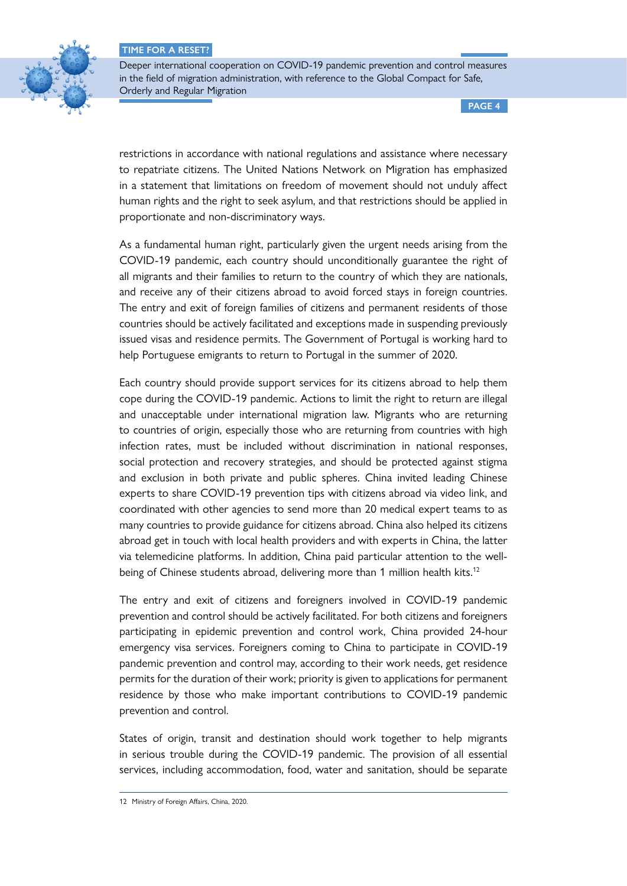

Deeper international cooperation on COVID-19 pandemic prevention and control measures in the field of migration administration, with reference to the Global Compact for Safe, Orderly and Regular Migration

**PAGE 4**

restrictions in accordance with national regulations and assistance where necessary to repatriate citizens. The United Nations Network on Migration has emphasized in a statement that limitations on freedom of movement should not unduly affect human rights and the right to seek asylum, and that restrictions should be applied in proportionate and non-discriminatory ways.

As a fundamental human right, particularly given the urgent needs arising from the COVID-19 pandemic, each country should unconditionally guarantee the right of all migrants and their families to return to the country of which they are nationals, and receive any of their citizens abroad to avoid forced stays in foreign countries. The entry and exit of foreign families of citizens and permanent residents of those countries should be actively facilitated and exceptions made in suspending previously issued visas and residence permits. The Government of Portugal is working hard to help Portuguese emigrants to return to Portugal in the summer of 2020.

Each country should provide support services for its citizens abroad to help them cope during the COVID-19 pandemic. Actions to limit the right to return are illegal and unacceptable under international migration law. Migrants who are returning to countries of origin, especially those who are returning from countries with high infection rates, must be included without discrimination in national responses, social protection and recovery strategies, and should be protected against stigma and exclusion in both private and public spheres. China invited leading Chinese experts to share COVID-19 prevention tips with citizens abroad via video link, and coordinated with other agencies to send more than 20 medical expert teams to as many countries to provide guidance for citizens abroad. China also helped its citizens abroad get in touch with local health providers and with experts in China, the latter via telemedicine platforms. In addition, China paid particular attention to the wellbeing of Chinese students abroad, delivering more than 1 million health kits.<sup>12</sup>

The entry and exit of citizens and foreigners involved in COVID-19 pandemic prevention and control should be actively facilitated. For both citizens and foreigners participating in epidemic prevention and control work, China provided 24-hour emergency visa services. Foreigners coming to China to participate in COVID-19 pandemic prevention and control may, according to their work needs, get residence permits for the duration of their work; priority is given to applications for permanent residence by those who make important contributions to COVID-19 pandemic prevention and control.

States of origin, transit and destination should work together to help migrants in serious trouble during the COVID-19 pandemic. The provision of all essential services, including accommodation, food, water and sanitation, should be separate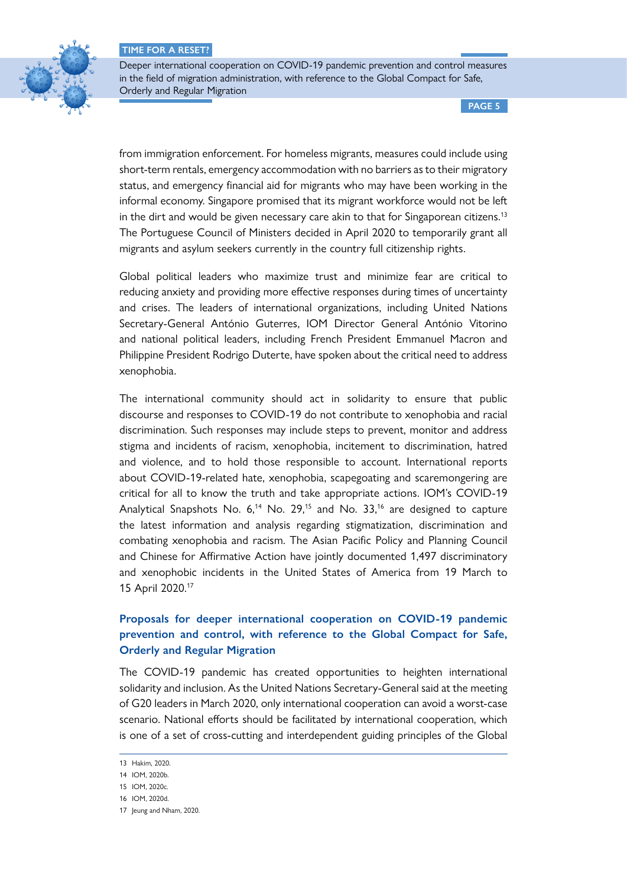

Deeper international cooperation on COVID-19 pandemic prevention and control measures in the field of migration administration, with reference to the Global Compact for Safe, Orderly and Regular Migration

**PAGE 5**

from immigration enforcement. For homeless migrants, measures could include using short-term rentals, emergency accommodation with no barriers as to their migratory status, and emergency financial aid for migrants who may have been working in the informal economy. Singapore promised that its migrant workforce would not be left in the dirt and would be given necessary care akin to that for Singaporean citizens.<sup>13</sup> The Portuguese Council of Ministers decided in April 2020 to temporarily grant all migrants and asylum seekers currently in the country full citizenship rights.

Global political leaders who maximize trust and minimize fear are critical to reducing anxiety and providing more effective responses during times of uncertainty and crises. The leaders of international organizations, including United Nations Secretary-General António Guterres, IOM Director General António Vitorino and national political leaders, including French President Emmanuel Macron and Philippine President Rodrigo Duterte, have spoken about the critical need to address xenophobia.

The international community should act in solidarity to ensure that public discourse and responses to COVID-19 do not contribute to xenophobia and racial discrimination. Such responses may include steps to prevent, monitor and address stigma and incidents of racism, xenophobia, incitement to discrimination, hatred and violence, and to hold those responsible to account. International reports about COVID-19-related hate, xenophobia, scapegoating and scaremongering are critical for all to know the truth and take appropriate actions. IOM's COVID-19 Analytical Snapshots No. 6,<sup>14</sup> No. 29,<sup>15</sup> and No. 33,<sup>16</sup> are designed to capture the latest information and analysis regarding stigmatization, discrimination and combating xenophobia and racism. The Asian Pacific Policy and Planning Council and Chinese for Affirmative Action have jointly documented 1,497 discriminatory and xenophobic incidents in the United States of America from 19 March to 15 April 2020.17

# **Proposals for deeper international cooperation on COVID-19 pandemic prevention and control, with reference to the Global Compact for Safe, Orderly and Regular Migration**

The COVID-19 pandemic has created opportunities to heighten international solidarity and inclusion. As the United Nations Secretary-General said at the meeting of G20 leaders in March 2020, only international cooperation can avoid a worst-case scenario. National efforts should be facilitated by international cooperation, which is one of a set of cross-cutting and interdependent guiding principles of the Global

<sup>13</sup> Hakim, 2020.

<sup>14</sup> IOM, 2020b.

<sup>15</sup> IOM, 2020c.

<sup>16</sup> IOM, 2020d.

<sup>17</sup> Jeung and Nham, 2020.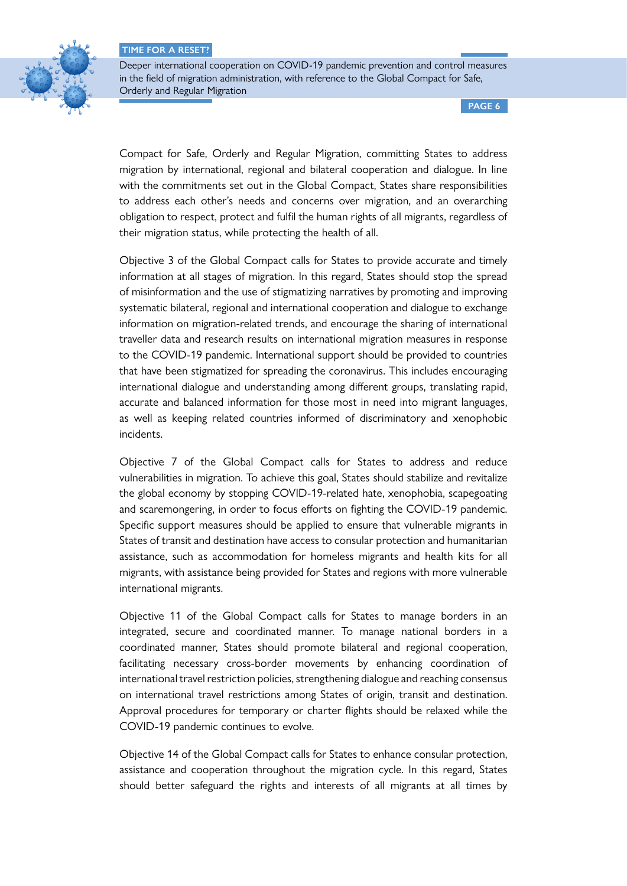

Deeper international cooperation on COVID-19 pandemic prevention and control measures in the field of migration administration, with reference to the Global Compact for Safe, Orderly and Regular Migration

**PAGE 6**

Compact for Safe, Orderly and Regular Migration, committing States to address migration by international, regional and bilateral cooperation and dialogue. In line with the commitments set out in the Global Compact, States share responsibilities to address each other's needs and concerns over migration, and an overarching obligation to respect, protect and fulfil the human rights of all migrants, regardless of their migration status, while protecting the health of all.

Objective 3 of the Global Compact calls for States to provide accurate and timely information at all stages of migration. In this regard, States should stop the spread of misinformation and the use of stigmatizing narratives by promoting and improving systematic bilateral, regional and international cooperation and dialogue to exchange information on migration-related trends, and encourage the sharing of international traveller data and research results on international migration measures in response to the COVID-19 pandemic. International support should be provided to countries that have been stigmatized for spreading the coronavirus. This includes encouraging international dialogue and understanding among different groups, translating rapid, accurate and balanced information for those most in need into migrant languages, as well as keeping related countries informed of discriminatory and xenophobic incidents.

Objective 7 of the Global Compact calls for States to address and reduce vulnerabilities in migration. To achieve this goal, States should stabilize and revitalize the global economy by stopping COVID-19-related hate, xenophobia, scapegoating and scaremongering, in order to focus efforts on fighting the COVID-19 pandemic. Specific support measures should be applied to ensure that vulnerable migrants in States of transit and destination have access to consular protection and humanitarian assistance, such as accommodation for homeless migrants and health kits for all migrants, with assistance being provided for States and regions with more vulnerable international migrants.

Objective 11 of the Global Compact calls for States to manage borders in an integrated, secure and coordinated manner. To manage national borders in a coordinated manner, States should promote bilateral and regional cooperation, facilitating necessary cross-border movements by enhancing coordination of international travel restriction policies, strengthening dialogue and reaching consensus on international travel restrictions among States of origin, transit and destination. Approval procedures for temporary or charter flights should be relaxed while the COVID-19 pandemic continues to evolve.

Objective 14 of the Global Compact calls for States to enhance consular protection, assistance and cooperation throughout the migration cycle. In this regard, States should better safeguard the rights and interests of all migrants at all times by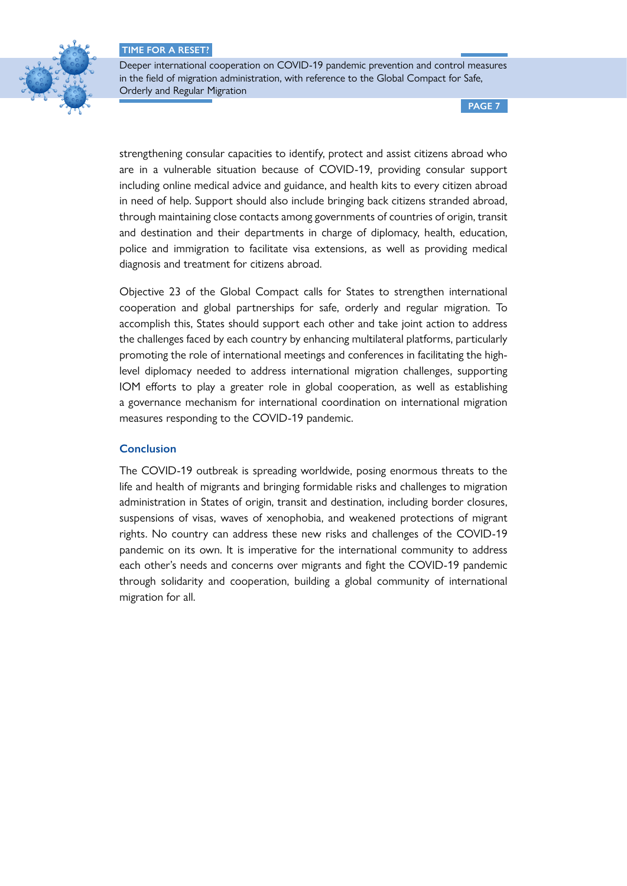

Deeper international cooperation on COVID-19 pandemic prevention and control measures in the field of migration administration, with reference to the Global Compact for Safe, Orderly and Regular Migration

**PAGE 7**

strengthening consular capacities to identify, protect and assist citizens abroad who are in a vulnerable situation because of COVID-19, providing consular support including online medical advice and guidance, and health kits to every citizen abroad in need of help. Support should also include bringing back citizens stranded abroad, through maintaining close contacts among governments of countries of origin, transit and destination and their departments in charge of diplomacy, health, education, police and immigration to facilitate visa extensions, as well as providing medical diagnosis and treatment for citizens abroad.

Objective 23 of the Global Compact calls for States to strengthen international cooperation and global partnerships for safe, orderly and regular migration. To accomplish this, States should support each other and take joint action to address the challenges faced by each country by enhancing multilateral platforms, particularly promoting the role of international meetings and conferences in facilitating the highlevel diplomacy needed to address international migration challenges, supporting IOM efforts to play a greater role in global cooperation, as well as establishing a governance mechanism for international coordination on international migration measures responding to the COVID-19 pandemic.

### **Conclusion**

The COVID-19 outbreak is spreading worldwide, posing enormous threats to the life and health of migrants and bringing formidable risks and challenges to migration administration in States of origin, transit and destination, including border closures, suspensions of visas, waves of xenophobia, and weakened protections of migrant rights. No country can address these new risks and challenges of the COVID-19 pandemic on its own. It is imperative for the international community to address each other's needs and concerns over migrants and fight the COVID-19 pandemic through solidarity and cooperation, building a global community of international migration for all.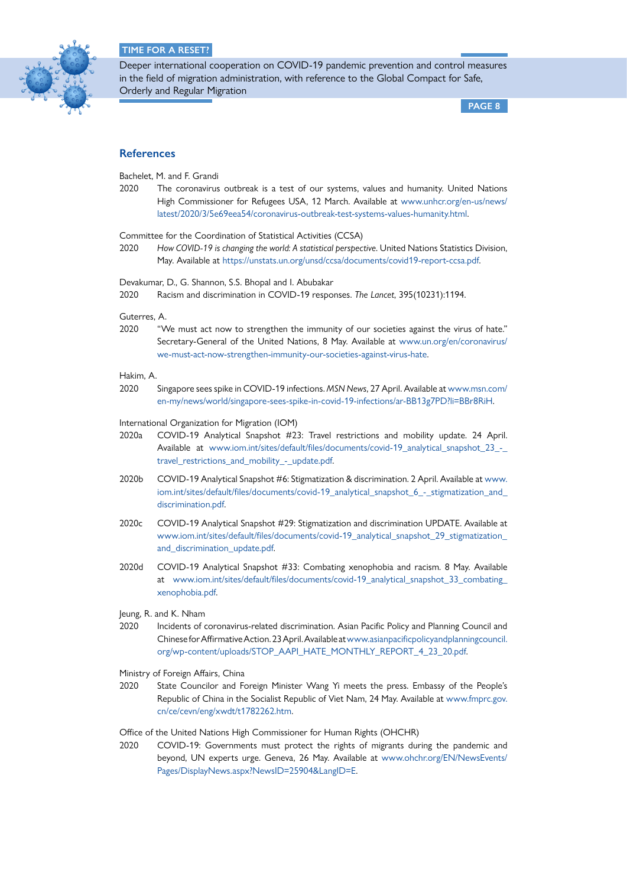

Deeper international cooperation on COVID-19 pandemic prevention and control measures in the field of migration administration, with reference to the Global Compact for Safe, Orderly and Regular Migration

**PAGE 8**

### **References**

Bachelet, M. and F. Grandi

2020 The coronavirus outbreak is a test of our systems, values and humanity. United Nations High Commissioner for Refugees USA, 12 March. Available at [www.unhcr.org/en-us/news/](http://www.unhcr.org/en-us/news/latest/2020/3/5e69eea54/coronavirus-outbreak-test-systems-values-humanity.html) [latest/2020/3/5e69eea54/coronavirus-outbreak-test-systems-values-humanity.html.](http://www.unhcr.org/en-us/news/latest/2020/3/5e69eea54/coronavirus-outbreak-test-systems-values-humanity.html)

Committee for the Coordination of Statistical Activities (CCSA)

2020 *How COVID-19 is changing the world: A statistical perspective*. United Nations Statistics Division, May. Available at [https://unstats.un.org/unsd/ccsa/documents/covid19-report-ccsa.pdf.](https://unstats.un.org/unsd/ccsa/documents/covid19-report-ccsa.pdf)

Devakumar, D., G. Shannon, S.S. Bhopal and I. Abubakar

2020 Racism and discrimination in COVID-19 responses. *The Lancet*, 395(10231):1194.

Guterres, A.

2020 "We must act now to strengthen the immunity of our societies against the virus of hate." Secretary-General of the United Nations, 8 May. Available at [www.un.org/en/coronavirus/](http://www.un.org/en/coronavirus/we-must-act-now-strengthen-immunity-our-societies-against-virus-hate) [we-must-act-now-strengthen-immunity-our-societies-against-virus-hate.](http://www.un.org/en/coronavirus/we-must-act-now-strengthen-immunity-our-societies-against-virus-hate)

#### Hakim, A.

2020 Singapore sees spike in COVID-19 infections. *MSN News*, 27 April. Available at [www.msn.com/](http://www.msn.com/en-my/news/world/singapore-sees-spike-in-covid-19-infections/ar-BB13g7PD?li=BBr8RiH) [en-my/news/world/singapore-sees-spike-in-covid-19-infections/ar-BB13g7PD?li=BBr8RiH](http://www.msn.com/en-my/news/world/singapore-sees-spike-in-covid-19-infections/ar-BB13g7PD?li=BBr8RiH).

International Organization for Migration (IOM)

- 2020a COVID-19 Analytical Snapshot #23: Travel restrictions and mobility update. 24 April. Available at [www.iom.int/sites/default/files/documents/covid-19\\_analytical\\_snapshot\\_23\\_-\\_](http://www.iom.int/sites/default/files/documents/covid-19_analytical_snapshot_23_-_travel_restrictions_and_mobility_-_update.pdf) [travel\\_restrictions\\_and\\_mobility\\_-\\_update.pdf.](http://www.iom.int/sites/default/files/documents/covid-19_analytical_snapshot_23_-_travel_restrictions_and_mobility_-_update.pdf)
- 2020b COVID-19 Analytical Snapshot #6: Stigmatization & discrimination. 2 April. Available at [www.](http://www.iom.int/sites/default/files/documents/covid-19_analytical_snapshot_6_-_stigmatization_and_discrimination.pdf) [iom.int/sites/default/files/documents/covid-19\\_analytical\\_snapshot\\_6\\_-\\_stigmatization\\_and\\_](http://www.iom.int/sites/default/files/documents/covid-19_analytical_snapshot_6_-_stigmatization_and_discrimination.pdf) [discrimination.pdf.](http://www.iom.int/sites/default/files/documents/covid-19_analytical_snapshot_6_-_stigmatization_and_discrimination.pdf)
- 2020c COVID-19 Analytical Snapshot #29: Stigmatization and discrimination UPDATE. Available at [www.iom.int/sites/default/files/documents/covid-19\\_analytical\\_snapshot\\_29\\_stigmatization\\_](http://www.iom.int/sites/default/files/documents/covid-19_analytical_snapshot_29_stigmatization_and_discrimination_update.pdf) [and\\_discrimination\\_update.pdf.](http://www.iom.int/sites/default/files/documents/covid-19_analytical_snapshot_29_stigmatization_and_discrimination_update.pdf)
- 2020d COVID-19 Analytical Snapshot #33: Combating xenophobia and racism. 8 May. Available at [www.iom.int/sites/default/files/documents/covid-19\\_analytical\\_snapshot\\_33\\_combating\\_](http://www.iom.int/sites/default/files/documents/covid-19_analytical_snapshot_33_combating_xenophobia.pdf) [xenophobia.pdf](http://www.iom.int/sites/default/files/documents/covid-19_analytical_snapshot_33_combating_xenophobia.pdf).
- Jeung, R. and K. Nham
- 2020 Incidents of coronavirus-related discrimination. Asian Pacific Policy and Planning Council and Chinese for Affirmative Action. 23 April. Available at [www.asianpacificpolicyandplanningcouncil.](http://www.asianpacificpolicyandplanningcouncil.org/wp-content/uploads/STOP_AAPI_HATE_MONTHLY_REPORT_4_23_20.pdf) [org/wp-content/uploads/STOP\\_AAPI\\_HATE\\_MONTHLY\\_REPORT\\_4\\_23\\_20.pdf.](http://www.asianpacificpolicyandplanningcouncil.org/wp-content/uploads/STOP_AAPI_HATE_MONTHLY_REPORT_4_23_20.pdf)
- Ministry of Foreign Affairs, China
- 2020 State Councilor and Foreign Minister Wang Yi meets the press. Embassy of the People's Republic of China in the Socialist Republic of Viet Nam, 24 May. Available at [www.fmprc.gov.](http://www.fmprc.gov.cn/ce/cevn/eng/xwdt/t1782262.htm) [cn/ce/cevn/eng/xwdt/t1782262.htm.](http://www.fmprc.gov.cn/ce/cevn/eng/xwdt/t1782262.htm)

Office of the United Nations High Commissioner for Human Rights (OHCHR)

2020 COVID-19: Governments must protect the rights of migrants during the pandemic and beyond, UN experts urge. Geneva, 26 May. Available at [www.ohchr.org/EN/NewsEvents/](http://www.ohchr.org/EN/NewsEvents/Pages/DisplayNews.aspx?NewsID=25904&LangID=E) [Pages/DisplayNews.aspx?NewsID=25904&LangID=E](http://www.ohchr.org/EN/NewsEvents/Pages/DisplayNews.aspx?NewsID=25904&LangID=E).